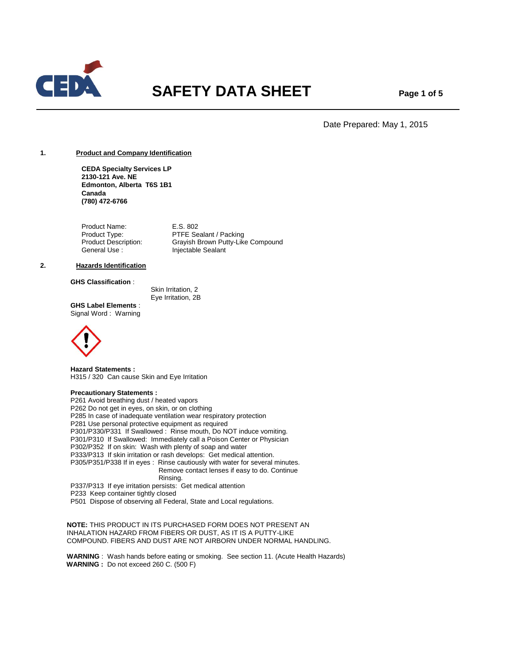

# **SAFETY DATA SHEET** Page 1 of 5

Date Prepared: May 1, 2015

# **1. Product and Company Identification**

**CEDA Specialty Services LP 2130-121 Ave. NE Edmonton, Alberta T6S 1B1 Canada (780) 472-6766**

Product Name: E.S. 802 Product Type: PTFE Sealant / Packing<br>Product Description: Grayish Brown Putty-Lik Grayish Brown Putty-Like Compound General Use : Injectable Sealant

#### **2. Hazards Identification**

# **GHS Classification** :

 Skin Irritation, 2 Eye Irritation, 2B

**GHS Label Elements** : Signal Word : Warning



**Hazard Statements :** H315 / 320 Can cause Skin and Eye Irritation

# **Precautionary Statements :**

P261 Avoid breathing dust / heated vapors P262 Do not get in eyes, on skin, or on clothing P285 In case of inadequate ventilation wear respiratory protection P281 Use personal protective equipment as required P301/P330/P331 If Swallowed : Rinse mouth, Do NOT induce vomiting. P301/P310 If Swallowed: Immediately call a Poison Center or Physician P302/P352 If on skin: Wash with plenty of soap and water P333/P313 If skin irritation or rash develops: Get medical attention. P305/P351/P338 If in eyes : Rinse cautiously with water for several minutes. Remove contact lenses if easy to do. Continue Rinsing. P337/P313 If eye irritation persists: Get medical attention

P233 Keep container tightly closed

P501 Dispose of observing all Federal, State and Local regulations.

 **NOTE:** THIS PRODUCT IN ITS PURCHASED FORM DOES NOT PRESENT AN INHALATION HAZARD FROM FIBERS OR DUST, AS IT IS A PUTTY-LIKE COMPOUND. FIBERS AND DUST ARE NOT AIRBORN UNDER NORMAL HANDLING.

 **WARNING** : Wash hands before eating or smoking. See section 11. (Acute Health Hazards) **WARNING :** Do not exceed 260 C. (500 F)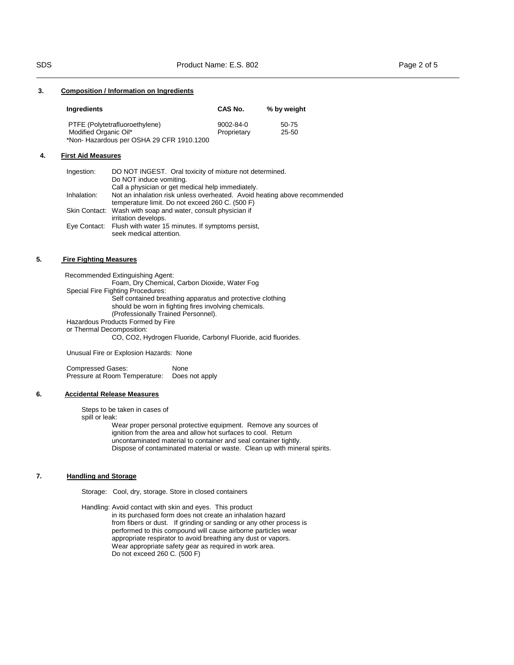# **3. Composition / Information on Ingredients**

| Ingredients                              | CAS No.     | % by weight |  |
|------------------------------------------|-------------|-------------|--|
| PTFE (Polytetrafluoroethylene)           | 9002-84-0   | 50-75       |  |
| Modified Organic Oil*                    | Proprietary | $25 - 50$   |  |
| *Non-Hazardous per OSHA 29 CFR 1910.1200 |             |             |  |

#### **4. First Aid Measures**

| Ingestion:  | DO NOT INGEST. Oral toxicity of mixture not determined.                   |
|-------------|---------------------------------------------------------------------------|
|             | Do NOT induce vomiting.                                                   |
|             | Call a physician or get medical help immediately.                         |
| Inhalation: | Not an inhalation risk unless overheated. Avoid heating above recommended |
|             | temperature limit. Do not exceed 260 C. (500 F)                           |
|             | Skin Contact: Wash with soap and water, consult physician if              |
|             | irritation develops.                                                      |
|             | Eye Contact: Flush with water 15 minutes. If symptoms persist,            |
|             | seek medical attention.                                                   |

# **5. Fire Fighting Measures**

 Recommended Extinguishing Agent: Foam, Dry Chemical, Carbon Dioxide, Water Fog Special Fire Fighting Procedures: Self contained breathing apparatus and protective clothing should be worn in fighting fires involving chemicals. (Professionally Trained Personnel). Hazardous Products Formed by Fire or Thermal Decomposition:

CO, CO2, Hydrogen Fluoride, Carbonyl Fluoride, acid fluorides.

Unusual Fire or Explosion Hazards: None

Compressed Gases: None Pressure at Room Temperature: Does not apply

#### **6. Accidental Release Measures**

Steps to be taken in cases of spill or leak:

> Wear proper personal protective equipment. Remove any sources of ignition from the area and allow hot surfaces to cool. Return uncontaminated material to container and seal container tightly. Dispose of contaminated material or waste. Clean up with mineral spirits.

# **7. Handling and Storage**

Storage: Cool, dry, storage. Store in closed containers

Handling: Avoid contact with skin and eyes. This product in its purchased form does not create an inhalation hazard from fibers or dust. If grinding or sanding or any other process is performed to this compound will cause airborne particles wear appropriate respirator to avoid breathing any dust or vapors. Wear appropriate safety gear as required in work area. Do not exceed 260 C. (500 F)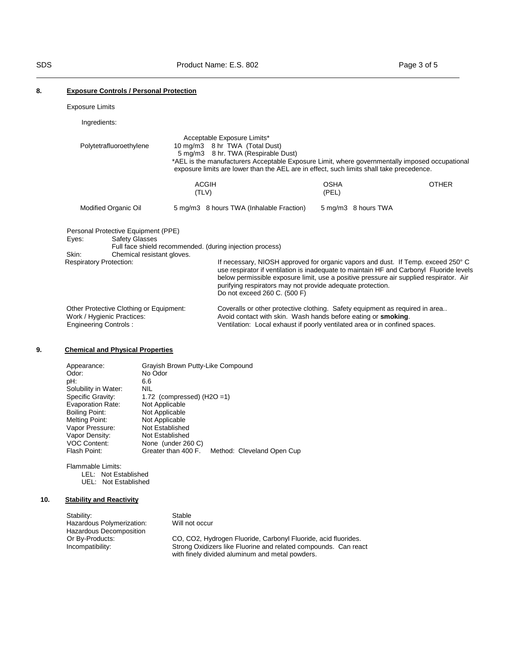# **8. Exposure Controls / Personal Protection**

Exposure Limits

# Ingredients:

| Polytetrafluoroethylene                                                                               |                                                     |       | Acceptable Exposure Limits*<br>10 mg/m3 8 hr TWA (Total Dust)<br>5 mg/m3 8 hr. TWA (Respirable Dust)<br>*AEL is the manufacturers Acceptable Exposure Limit, where governmentally imposed occupational<br>exposure limits are lower than the AEL are in effect, such limits shall take precedence.                                                                  |                      |              |
|-------------------------------------------------------------------------------------------------------|-----------------------------------------------------|-------|---------------------------------------------------------------------------------------------------------------------------------------------------------------------------------------------------------------------------------------------------------------------------------------------------------------------------------------------------------------------|----------------------|--------------|
|                                                                                                       |                                                     | (TLV) | <b>ACGIH</b>                                                                                                                                                                                                                                                                                                                                                        | <b>OSHA</b><br>(PEL) | <b>OTHER</b> |
| Modified Organic Oil                                                                                  |                                                     |       | 5 mg/m3 8 hours TWA (Inhalable Fraction)                                                                                                                                                                                                                                                                                                                            | 5 mg/m3 8 hours TWA  |              |
| Personal Protective Equipment (PPE)<br>Eyes:<br>Skin:                                                 | <b>Safety Glasses</b><br>Chemical resistant gloves. |       | Full face shield recommended. (during injection process)                                                                                                                                                                                                                                                                                                            |                      |              |
| <b>Respiratory Protection:</b>                                                                        |                                                     |       | If necessary, NIOSH approved for organic vapors and dust. If Temp. exceed 250° C<br>use respirator if ventilation is inadequate to maintain HF and Carbonyl Fluoride levels<br>below permissible exposure limit, use a positive pressure air supplied respirator. Air<br>purifying respirators may not provide adequate protection.<br>Do not exceed 260 C. (500 F) |                      |              |
| Other Protective Clothing or Equipment:<br>Work / Hygienic Practices:<br><b>Engineering Controls:</b> |                                                     |       | Coveralls or other protective clothing. Safety equipment as required in area<br>Avoid contact with skin. Wash hands before eating or smoking.<br>Ventilation: Local exhaust if poorly ventilated area or in confined spaces.                                                                                                                                        |                      |              |

# **9. Chemical and Physical Properties**

| Appearance:              | Grayish Brown Putty-Like Compound                 |
|--------------------------|---------------------------------------------------|
| Odor:                    | No Odor                                           |
| pH:                      | 6.6                                               |
| Solubility in Water:     | <b>NIL</b>                                        |
| Specific Gravity:        | 1.72 (compressed) $(H2O = 1)$                     |
| <b>Evaporation Rate:</b> | Not Applicable                                    |
| Boiling Point:           | Not Applicable                                    |
| Melting Point:           | Not Applicable                                    |
| Vapor Pressure:          | Not Established                                   |
| Vapor Density:           | Not Established                                   |
| <b>VOC Content:</b>      | None (under 260 C)                                |
| Flash Point:             | Greater than 400 F.<br>Method: Cleveland Open Cup |
|                          |                                                   |

Flammable Limits: LEL: Not Established UEL: Not Established

# **10. Stability and Reactivity**

| Stability:                | Stable                                                                                                             |
|---------------------------|--------------------------------------------------------------------------------------------------------------------|
| Hazardous Polymerization: | Will not occur                                                                                                     |
| Hazardous Decomposition   |                                                                                                                    |
| Or By-Products:           | CO, CO2, Hydrogen Fluoride, Carbonyl Fluoride, acid fluorides.                                                     |
| Incompatibility:          | Strong Oxidizers like Fluorine and related compounds. Can react<br>with finely divided aluminum and metal powders. |
|                           |                                                                                                                    |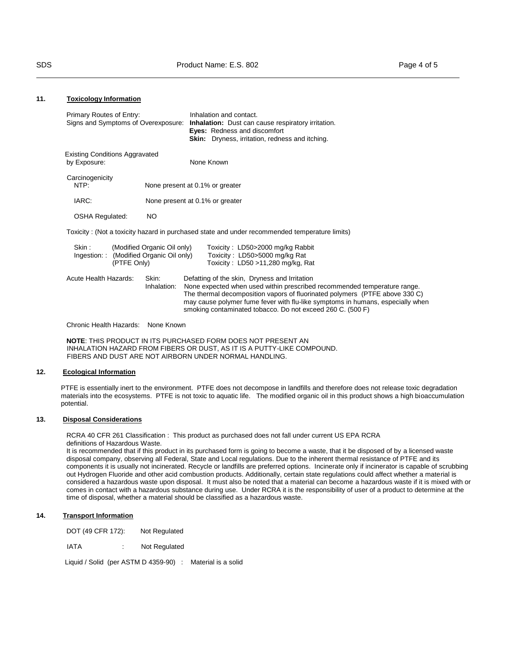## **11. Toxicology Information**

| Primary Routes of Entry:<br>Signs and Symptoms of Overexposure: |                                                            | Inhalation and contact.<br><b>Inhalation:</b> Dust can cause respiratory irritation.<br><b>Eyes:</b> Redness and discomfort<br><b>Skin:</b> Dryness, irritation, redness and itching.                                                                                                                                                                    |
|-----------------------------------------------------------------|------------------------------------------------------------|----------------------------------------------------------------------------------------------------------------------------------------------------------------------------------------------------------------------------------------------------------------------------------------------------------------------------------------------------------|
| <b>Existing Conditions Aggravated</b><br>by Exposure:           |                                                            | None Known                                                                                                                                                                                                                                                                                                                                               |
| Carcinogenicity<br>NTP:                                         |                                                            | None present at 0.1% or greater                                                                                                                                                                                                                                                                                                                          |
| IARC:                                                           |                                                            | None present at 0.1% or greater                                                                                                                                                                                                                                                                                                                          |
| <b>OSHA Regulated:</b>                                          | NO.                                                        |                                                                                                                                                                                                                                                                                                                                                          |
|                                                                 |                                                            | Toxicity: (Not a toxicity hazard in purchased state and under recommended temperature limits)                                                                                                                                                                                                                                                            |
| Skin:<br>Ingestion: :<br>(PTFE Only)                            | (Modified Organic Oil only)<br>(Modified Organic Oil only) | Toxicity: LD50>2000 mg/kg Rabbit<br>Toxicity: LD50>5000 mg/kg Rat<br>Toxicity: $LD50 > 11,280$ mg/kg, Rat                                                                                                                                                                                                                                                |
| Acute Health Hazards:                                           | Skin:<br>Inhalation:                                       | Defatting of the skin, Dryness and Irritation<br>None expected when used within prescribed recommended temperature range.<br>The thermal decomposition vapors of fluorinated polymers (PTFE above 330 C)<br>may cause polymer fume fever with flu-like symptoms in humans, especially when<br>smoking contaminated tobacco. Do not exceed 260 C. (500 F) |

Chronic Health Hazards: None Known

**NOTE**: THIS PRODUCT IN ITS PURCHASED FORM DOES NOT PRESENT AN INHALATION HAZARD FROM FIBERS OR DUST, AS IT IS A PUTTY-LIKE COMPOUND. FIBERS AND DUST ARE NOT AIRBORN UNDER NORMAL HANDLING.

# **12. Ecological Information**

PTFE is essentially inert to the environment. PTFE does not decompose in landfills and therefore does not release toxic degradation materials into the ecosystems. PTFE is not toxic to aquatic life. The modified organic oil in this product shows a high bioaccumulation potential.

# **13. Disposal Considerations**

RCRA 40 CFR 261 Classification : This product as purchased does not fall under current US EPA RCRA definitions of Hazardous Waste.

It is recommended that if this product in its purchased form is going to become a waste, that it be disposed of by a licensed waste disposal company, observing all Federal, State and Local regulations. Due to the inherent thermal resistance of PTFE and its components it is usually not incinerated. Recycle or landfills are preferred options. Incinerate only if incinerator is capable of scrubbing out Hydrogen Fluoride and other acid combustion products. Additionally, certain state regulations could affect whether a material is considered a hazardous waste upon disposal. It must also be noted that a material can become a hazardous waste if it is mixed with or comes in contact with a hazardous substance during use. Under RCRA it is the responsibility of user of a product to determine at the time of disposal, whether a material should be classified as a hazardous waste.

# **14. Transport Information**

DOT (49 CFR 172): Not Regulated

IATA : Not Regulated

Liquid / Solid (per ASTM D 4359-90) : Material is a solid